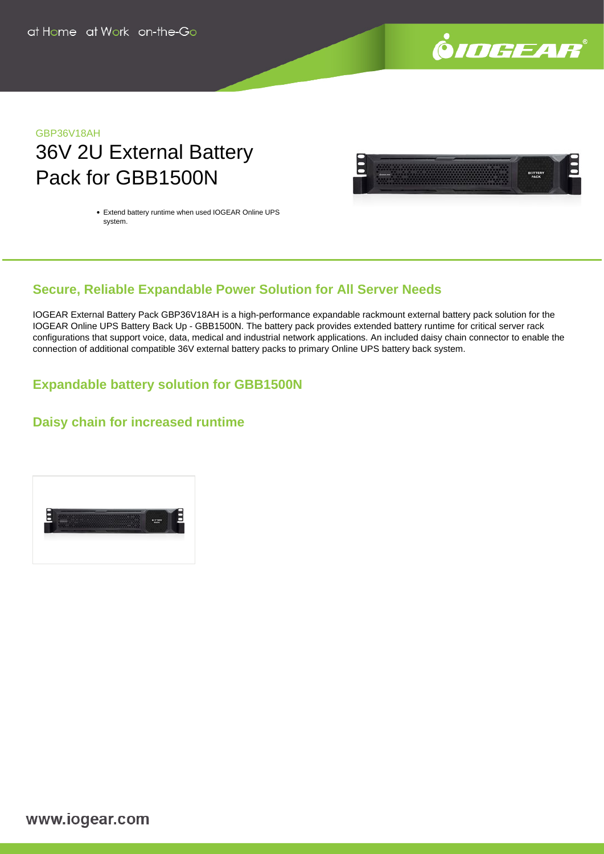

# GBP36V18AH 36V 2U External Battery Pack for GBB1500N



Extend battery runtime when used IOGEAR Online UPS system.

# **Secure, Reliable Expandable Power Solution for All Server Needs**

IOGEAR External Battery Pack GBP36V18AH is a high-performance expandable rackmount external battery pack solution for the IOGEAR Online UPS Battery Back Up - GBB1500N. The battery pack provides extended battery runtime for critical server rack configurations that support voice, data, medical and industrial network applications. An included daisy chain connector to enable the connection of additional compatible 36V external battery packs to primary Online UPS battery back system.

## **Expandable battery solution for GBB1500N**

### **Daisy chain for increased runtime**